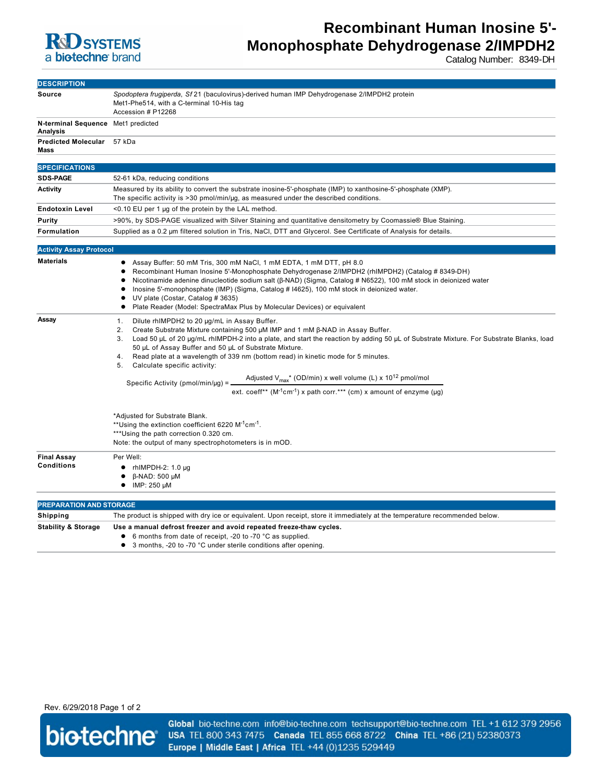

# **Recombinant Human Inosine 5'- Monophosphate Dehydrogenase 2/IMPDH2**

Catalog Number: 8349-DH

| <b>DESCRIPTION</b>                                    |                                                                                                                                                                                                                                                                                                                                                                                                                                                                                                                                                                                                                                                                                                                            |
|-------------------------------------------------------|----------------------------------------------------------------------------------------------------------------------------------------------------------------------------------------------------------------------------------------------------------------------------------------------------------------------------------------------------------------------------------------------------------------------------------------------------------------------------------------------------------------------------------------------------------------------------------------------------------------------------------------------------------------------------------------------------------------------------|
| Source                                                | Spodoptera frugiperda, Sf 21 (baculovirus)-derived human IMP Dehydrogenase 2/IMPDH2 protein<br>Met1-Phe514, with a C-terminal 10-His tag<br>Accession # P12268                                                                                                                                                                                                                                                                                                                                                                                                                                                                                                                                                             |
| N-terminal Sequence Met1 predicted<br><b>Analysis</b> |                                                                                                                                                                                                                                                                                                                                                                                                                                                                                                                                                                                                                                                                                                                            |
| Predicted Molecular 57 kDa<br>Mass                    |                                                                                                                                                                                                                                                                                                                                                                                                                                                                                                                                                                                                                                                                                                                            |
| <b>SPECIFICATIONS</b>                                 |                                                                                                                                                                                                                                                                                                                                                                                                                                                                                                                                                                                                                                                                                                                            |
| <b>SDS-PAGE</b>                                       | 52-61 kDa, reducing conditions                                                                                                                                                                                                                                                                                                                                                                                                                                                                                                                                                                                                                                                                                             |
| <b>Activity</b>                                       | Measured by its ability to convert the substrate inosine-5'-phosphate (IMP) to xanthosine-5'-phosphate (XMP).<br>The specific activity is >30 pmol/min/µg, as measured under the described conditions.                                                                                                                                                                                                                                                                                                                                                                                                                                                                                                                     |
| <b>Endotoxin Level</b>                                | $<$ 0.10 EU per 1 µg of the protein by the LAL method.                                                                                                                                                                                                                                                                                                                                                                                                                                                                                                                                                                                                                                                                     |
| Purity                                                | >90%, by SDS-PAGE visualized with Silver Staining and quantitative densitometry by Coomassie® Blue Staining.                                                                                                                                                                                                                                                                                                                                                                                                                                                                                                                                                                                                               |
| Formulation                                           | Supplied as a 0.2 µm filtered solution in Tris, NaCl, DTT and Glycerol. See Certificate of Analysis for details.                                                                                                                                                                                                                                                                                                                                                                                                                                                                                                                                                                                                           |
| <b>Activity Assay Protocol</b>                        |                                                                                                                                                                                                                                                                                                                                                                                                                                                                                                                                                                                                                                                                                                                            |
| <b>Materials</b>                                      | Assay Buffer: 50 mM Tris, 300 mM NaCl, 1 mM EDTA, 1 mM DTT, pH 8.0<br>Recombinant Human Inosine 5'-Monophosphate Dehydrogenase 2/IMPDH2 (rhIMPDH2) (Catalog # 8349-DH)<br>Nicotinamide adenine dinucleotide sodium salt ( $\beta$ -NAD) (Sigma, Catalog # N6522), 100 mM stock in deionized water<br>Inosine 5'-monophosphate (IMP) (Sigma, Catalog #14625), 100 mM stock in deionized water.<br>UV plate (Costar, Catalog # 3635)<br>Plate Reader (Model: SpectraMax Plus by Molecular Devices) or equivalent                                                                                                                                                                                                             |
| Assay                                                 | Dilute rhIMPDH2 to 20 µg/mL in Assay Buffer.<br>1.<br>Create Substrate Mixture containing 500 μM IMP and 1 mM β-NAD in Assay Buffer.<br>2.<br>Load 50 µL of 20 µg/mL rhIMPDH-2 into a plate, and start the reaction by adding 50 µL of Substrate Mixture. For Substrate Blanks, load<br>3.<br>50 µL of Assay Buffer and 50 µL of Substrate Mixture.<br>Read plate at a wavelength of 339 nm (bottom read) in kinetic mode for 5 minutes.<br>4.<br>Calculate specific activity:<br>5.<br>Adjusted $V_{max}$ <sup>*</sup> (OD/min) x well volume (L) x 10 <sup>12</sup> pmol/mol<br>Specific Activity ( $pmol/min/\mu$ g) =<br>ext. coeff** (M <sup>-1</sup> cm <sup>-1</sup> ) x path corr.*** (cm) x amount of enzyme (µg) |
|                                                       | *Adjusted for Substrate Blank.<br>**Using the extinction coefficient 6220 M <sup>-1</sup> cm <sup>-1</sup> .<br>***Using the path correction 0.320 cm.<br>Note: the output of many spectrophotometers is in mOD.                                                                                                                                                                                                                                                                                                                                                                                                                                                                                                           |
| <b>Final Assay</b><br><b>Conditions</b>               | Per Well:<br>$\bullet$ rhIMPDH-2: 1.0 µg<br>$\beta$ -NAD: 500 µM<br>IMP: 250 μM                                                                                                                                                                                                                                                                                                                                                                                                                                                                                                                                                                                                                                            |
| <b>PREPARATION AND STORAGE</b>                        |                                                                                                                                                                                                                                                                                                                                                                                                                                                                                                                                                                                                                                                                                                                            |
| Shipping                                              | The product is shipped with dry ice or equivalent. Upon receipt, store it immediately at the temperature recommended below.                                                                                                                                                                                                                                                                                                                                                                                                                                                                                                                                                                                                |
| <b>Stability &amp; Storage</b>                        | Use a manual defrost freezer and avoid repeated freeze-thaw cycles.<br>6 months from date of receipt, -20 to -70 °C as supplied.<br>3 months, -20 to -70 °C under sterile conditions after opening.<br>٠                                                                                                                                                                                                                                                                                                                                                                                                                                                                                                                   |

Rev. 6/29/2018 Page 1 of 2



Global bio-techne.com info@bio-techne.com techsupport@bio-techne.com TEL +1 612 379 2956 USA TEL 800 343 7475 Canada TEL 855 668 8722 China TEL +86 (21) 52380373 Europe | Middle East | Africa TEL +44 (0)1235 529449